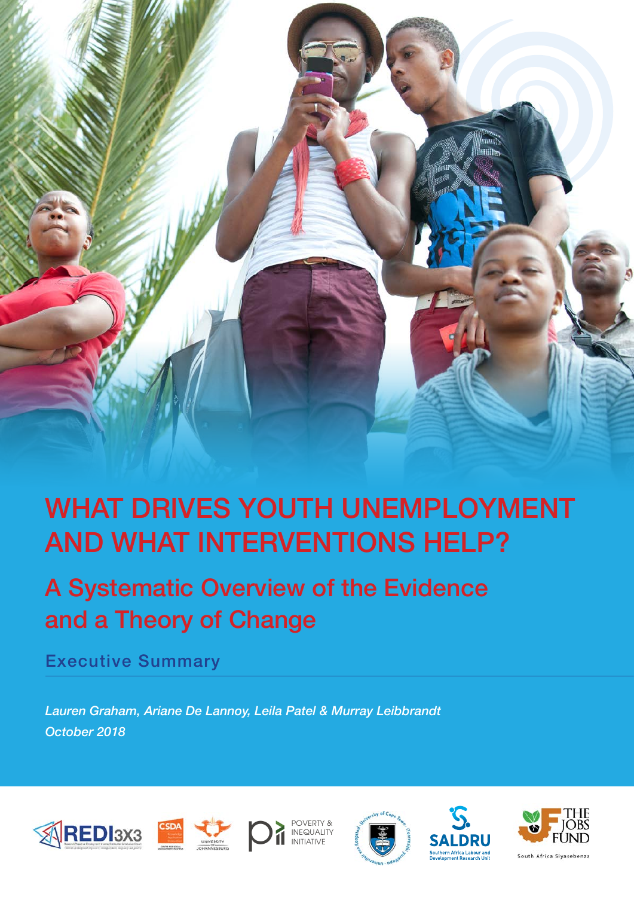

# WHAT DRIVES YOUTH UNEMPLOYMENT AND WHAT INTERVENTIONS HELP?

# A Systematic Overview of the Evidence and a Theory of Change

Executive Summary

*Lauren Graham, Ariane De Lannoy, Leila Patel & Murray Leibbrandt October 2018*











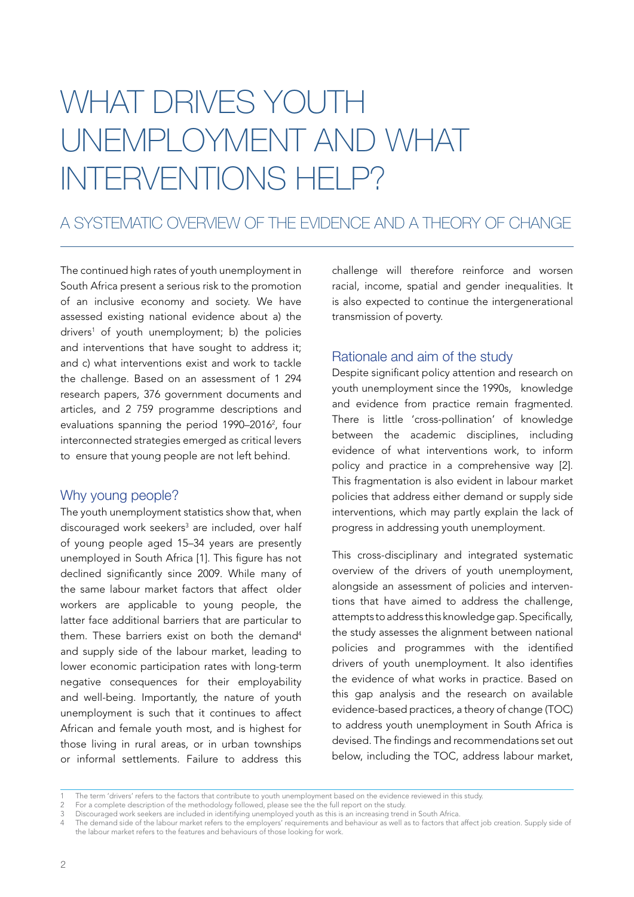# WHAT DRIVES YOUTH UNEMPLOYMENT AND WHAT INTERVENTIONS HELP?

# A SYSTEMATIC OVERVIEW OF THE EVIDENCE AND A THEORY OF CHANGE

The continued high rates of youth unemployment in South Africa present a serious risk to the promotion of an inclusive economy and society. We have assessed existing national evidence about a) the drivers1 of youth unemployment; b) the policies and interventions that have sought to address it; and c) what interventions exist and work to tackle the challenge. Based on an assessment of 1 294 research papers, 376 government documents and articles, and 2 759 programme descriptions and evaluations spanning the period 1990–2016<sup>2</sup>, four interconnected strategies emerged as critical levers to ensure that young people are not left behind.

# Why young people?

The youth unemployment statistics show that, when discouraged work seekers<sup>3</sup> are included, over half of young people aged 15–34 years are presently unemployed in South Africa [1]. This figure has not declined significantly since 2009. While many of the same labour market factors that affect older workers are applicable to young people, the latter face additional barriers that are particular to them. These barriers exist on both the demand<sup>4</sup> and supply side of the labour market, leading to lower economic participation rates with long-term negative consequences for their employability and well-being. Importantly, the nature of youth unemployment is such that it continues to affect African and female youth most, and is highest for those living in rural areas, or in urban townships or informal settlements. Failure to address this

challenge will therefore reinforce and worsen racial, income, spatial and gender inequalities. It is also expected to continue the intergenerational transmission of poverty.

#### Rationale and aim of the study

Despite significant policy attention and research on youth unemployment since the 1990s, knowledge and evidence from practice remain fragmented. There is little 'cross-pollination' of knowledge between the academic disciplines, including evidence of what interventions work, to inform policy and practice in a comprehensive way [2]. This fragmentation is also evident in labour market policies that address either demand or supply side interventions, which may partly explain the lack of progress in addressing youth unemployment.

This cross-disciplinary and integrated systematic overview of the drivers of youth unemployment, alongside an assessment of policies and interventions that have aimed to address the challenge, attempts to address this knowledge gap. Specifically, the study assesses the alignment between national policies and programmes with the identified drivers of youth unemployment. It also identifies the evidence of what works in practice. Based on this gap analysis and the research on available evidence-based practices, a theory of change (TOC) to address youth unemployment in South Africa is devised. The findings and recommendations set out below, including the TOC, address labour market,

<sup>1</sup> The term 'drivers' refers to the factors that contribute to youth unemployment based on the evidence reviewed in this study.<br>2 For a complete description of the methodology followed, please see the the full report on the

<sup>2</sup> For a complete description of the methodology followed, please see the the full report on the study.<br>3 Discouraged work seekers are included in identifying unemployed youth as this is an increasing trend

Discouraged work seekers are included in identifying unemployed youth as this is an increasing trend in South Africa.

The demand side of the labour market refers to the employers' requirements and behaviour as well as to factors that affect job creation. Supply side of the labour market refers to the features and behaviours of those looking for work.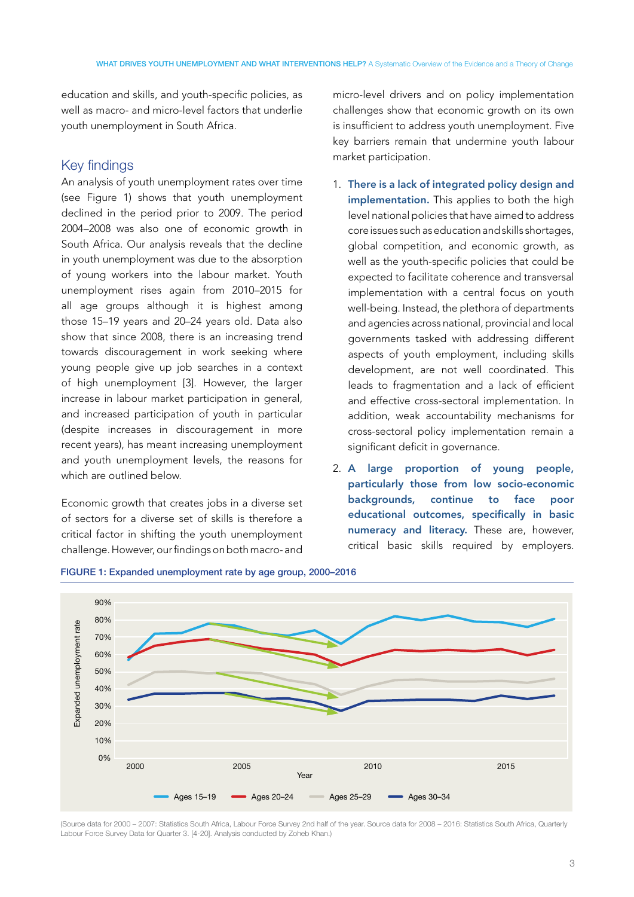education and skills, and youth-specific policies, as well as macro- and micro-level factors that underlie youth unemployment in South Africa.

# Key findings

An analysis of youth unemployment rates over time (see Figure 1) shows that youth unemployment declined in the period prior to 2009. The period 2004–2008 was also one of economic growth in South Africa. Our analysis reveals that the decline in youth unemployment was due to the absorption of young workers into the labour market. Youth unemployment rises again from 2010–2015 for all age groups although it is highest among those 15–19 years and 20–24 years old. Data also show that since 2008, there is an increasing trend towards discouragement in work seeking where young people give up job searches in a context of high unemployment [3]. However, the larger increase in labour market participation in general, and increased participation of youth in particular (despite increases in discouragement in more recent years), has meant increasing unemployment and youth unemployment levels, the reasons for which are outlined below.

Economic growth that creates jobs in a diverse set of sectors for a diverse set of skills is therefore a critical factor in shifting the youth unemployment challenge. However, our findings on both macro- and

micro-level drivers and on policy implementation challenges show that economic growth on its own is insufficient to address youth unemployment. Five key barriers remain that undermine youth labour market participation.

- 1. There is a lack of integrated policy design and implementation. This applies to both the high level national policies that have aimed to address core issues such as education and skills shortages, global competition, and economic growth, as well as the youth-specific policies that could be expected to facilitate coherence and transversal implementation with a central focus on youth well-being. Instead, the plethora of departments and agencies across national, provincial and local governments tasked with addressing different aspects of youth employment, including skills development, are not well coordinated. This leads to fragmentation and a lack of efficient and effective cross-sectoral implementation. In addition, weak accountability mechanisms for cross-sectoral policy implementation remain a significant deficit in governance.
- 2. A large proportion of young people, particularly those from low socio-economic backgrounds, continue to face poor educational outcomes, specifically in basic numeracy and literacy. These are, however, critical basic skills required by employers.



#### FIGURE 1: Expanded unemployment rate by age group, 2000–2016

(Source data for 2000 – 2007: Statistics South Africa, Labour Force Survey 2nd half of the year. Source data for 2008 – 2016: Statistics South Africa, Quarterly Labour Force Survey Data for Quarter 3. [4-20]. Analysis conducted by Zoheb Khan.)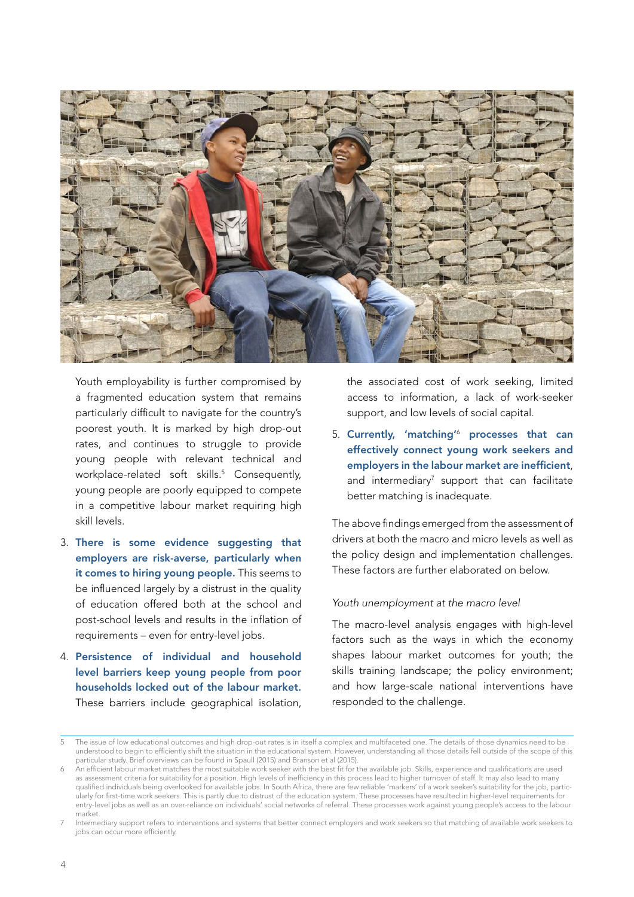

Youth employability is further compromised by a fragmented education system that remains particularly difficult to navigate for the country's poorest youth. It is marked by high drop-out rates, and continues to struggle to provide young people with relevant technical and workplace-related soft skills.5 Consequently, young people are poorly equipped to compete in a competitive labour market requiring high skill levels.

- 3. There is some evidence suggesting that employers are risk-averse, particularly when it comes to hiring young people. This seems to be influenced largely by a distrust in the quality of education offered both at the school and post-school levels and results in the inflation of requirements – even for entry-level jobs.
- 4. Persistence of individual and household level barriers keep young people from poor households locked out of the labour market. These barriers include geographical isolation,

the associated cost of work seeking, limited access to information, a lack of work-seeker support, and low levels of social capital.

5. Currently, 'matching'<sup>6</sup> processes that can effectively connect young work seekers and employers in the labour market are inefficient, and intermediary<sup>7</sup> support that can facilitate better matching is inadequate.

The above findings emerged from the assessment of drivers at both the macro and micro levels as well as the policy design and implementation challenges. These factors are further elaborated on below.

#### *Youth unemployment at the macro level*

The macro-level analysis engages with high-level factors such as the ways in which the economy shapes labour market outcomes for youth; the skills training landscape; the policy environment; and how large-scale national interventions have responded to the challenge.

The issue of low educational outcomes and high drop-out rates is in itself a complex and multifaceted one. The details of those dynamics need to be understood to begin to efficiently shift the situation in the educational system. However, understanding all those details fell outside of the scope of this particular study. Brief overviews can be found in Spaull (2015) and Branson et al (2015).

An efficient labour market matches the most suitable work seeker with the best fit for the available job. Skills, experience and qualifications are used as assessment criteria for suitability for a position. High levels of inefficiency in this process lead to higher turnover of staff. It may also lead to many qualified individuals being overlooked for available jobs. In South Africa, there are few reliable 'markers' of a work seeker's suitability for the job, particularly for first-time work seekers. This is partly due to distrust of the education system. These processes have resulted in higher-level requirements for entry-level jobs as well as an over-reliance on individuals' social networks of referral. These processes work against young people's access to the labour market.

<sup>7</sup> Intermediary support refers to interventions and systems that better connect employers and work seekers so that matching of available work seekers to jobs can occur more efficiently.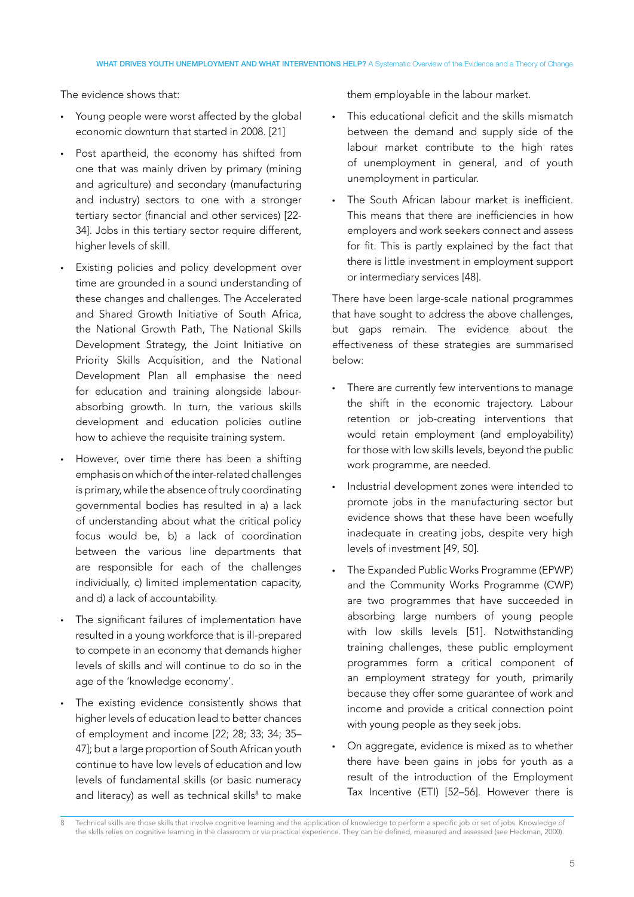The evidence shows that:

- Young people were worst affected by the global economic downturn that started in 2008. [21]
- Post apartheid, the economy has shifted from one that was mainly driven by primary (mining and agriculture) and secondary (manufacturing and industry) sectors to one with a stronger tertiary sector (financial and other services) [22- 34]. Jobs in this tertiary sector require different, higher levels of skill.
- Existing policies and policy development over time are grounded in a sound understanding of these changes and challenges. The Accelerated and Shared Growth Initiative of South Africa, the National Growth Path, The National Skills Development Strategy, the Joint Initiative on Priority Skills Acquisition, and the National Development Plan all emphasise the need for education and training alongside labourabsorbing growth. In turn, the various skills development and education policies outline how to achieve the requisite training system.
- However, over time there has been a shifting emphasis on which of the inter-related challenges is primary, while the absence of truly coordinating governmental bodies has resulted in a) a lack of understanding about what the critical policy focus would be, b) a lack of coordination between the various line departments that are responsible for each of the challenges individually, c) limited implementation capacity, and d) a lack of accountability.
- The significant failures of implementation have resulted in a young workforce that is ill-prepared to compete in an economy that demands higher levels of skills and will continue to do so in the age of the 'knowledge economy'.
- The existing evidence consistently shows that higher levels of education lead to better chances of employment and income [22; 28; 33; 34; 35– 47]; but a large proportion of South African youth continue to have low levels of education and low levels of fundamental skills (or basic numeracy and literacy) as well as technical skills<sup>8</sup> to make

them employable in the labour market.

- This educational deficit and the skills mismatch between the demand and supply side of the labour market contribute to the high rates of unemployment in general, and of youth unemployment in particular.
- The South African labour market is inefficient. This means that there are inefficiencies in how employers and work seekers connect and assess for fit. This is partly explained by the fact that there is little investment in employment support or intermediary services [48].

There have been large-scale national programmes that have sought to address the above challenges, but gaps remain. The evidence about the effectiveness of these strategies are summarised below:

- There are currently few interventions to manage the shift in the economic trajectory. Labour retention or job-creating interventions that would retain employment (and employability) for those with low skills levels, beyond the public work programme, are needed.
- Industrial development zones were intended to promote jobs in the manufacturing sector but evidence shows that these have been woefully inadequate in creating jobs, despite very high levels of investment [49, 50].
- The Expanded Public Works Programme (EPWP) and the Community Works Programme (CWP) are two programmes that have succeeded in absorbing large numbers of young people with low skills levels [51]. Notwithstanding training challenges, these public employment programmes form a critical component of an employment strategy for youth, primarily because they offer some guarantee of work and income and provide a critical connection point with young people as they seek jobs.
- On aggregate, evidence is mixed as to whether there have been gains in jobs for youth as a result of the introduction of the Employment Tax Incentive (ETI) [52–56]. However there is

Technical skills are those skills that involve cognitive learning and the application of knowledge to perform a specific job or set of jobs. Knowledge of the skills relies on cognitive learning in the classroom or via practical experience. They can be defined, measured and assessed (see Heckman, 2000).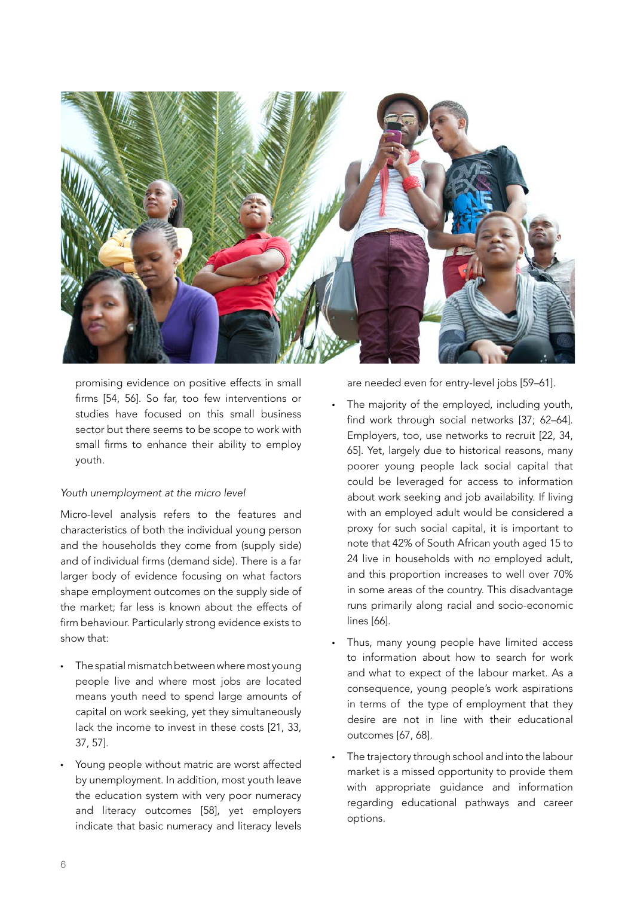

promising evidence on positive effects in small firms [54, 56]. So far, too few interventions or studies have focused on this small business sector but there seems to be scope to work with small firms to enhance their ability to employ youth.

#### *Youth unemployment at the micro level*

Micro-level analysis refers to the features and characteristics of both the individual young person and the households they come from (supply side) and of individual firms (demand side). There is a far larger body of evidence focusing on what factors shape employment outcomes on the supply side of the market; far less is known about the effects of firm behaviour. Particularly strong evidence exists to show that:

- The spatial mismatch between where most young people live and where most jobs are located means youth need to spend large amounts of capital on work seeking, yet they simultaneously lack the income to invest in these costs [21, 33, 37, 57].
- Young people without matric are worst affected by unemployment. In addition, most youth leave the education system with very poor numeracy and literacy outcomes [58], yet employers indicate that basic numeracy and literacy levels

are needed even for entry-level jobs [59–61].

- The majority of the employed, including youth, find work through social networks [37; 62–64]. Employers, too, use networks to recruit [22, 34, 65]. Yet, largely due to historical reasons, many poorer young people lack social capital that could be leveraged for access to information about work seeking and job availability. If living with an employed adult would be considered a proxy for such social capital, it is important to note that 42% of South African youth aged 15 to 24 live in households with *no* employed adult, and this proportion increases to well over 70% in some areas of the country. This disadvantage runs primarily along racial and socio-economic lines [66].
- Thus, many young people have limited access to information about how to search for work and what to expect of the labour market. As a consequence, young people's work aspirations in terms of the type of employment that they desire are not in line with their educational outcomes [67, 68].
- The trajectory through school and into the labour market is a missed opportunity to provide them with appropriate guidance and information regarding educational pathways and career options.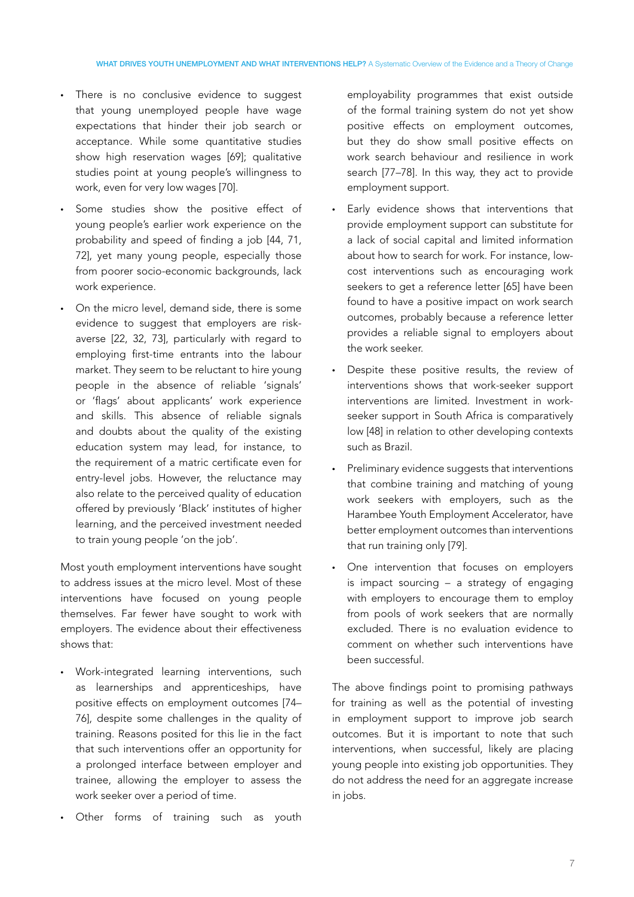- There is no conclusive evidence to suggest that young unemployed people have wage expectations that hinder their job search or acceptance. While some quantitative studies show high reservation wages [69]; qualitative studies point at young people's willingness to work, even for very low wages [70].
- Some studies show the positive effect of young people's earlier work experience on the probability and speed of finding a job [44, 71, 72], yet many young people, especially those from poorer socio-economic backgrounds, lack work experience.
- On the micro level, demand side, there is some evidence to suggest that employers are riskaverse [22, 32, 73], particularly with regard to employing first-time entrants into the labour market. They seem to be reluctant to hire young people in the absence of reliable 'signals' or 'flags' about applicants' work experience and skills. This absence of reliable signals and doubts about the quality of the existing education system may lead, for instance, to the requirement of a matric certificate even for entry-level jobs. However, the reluctance may also relate to the perceived quality of education offered by previously 'Black' institutes of higher learning, and the perceived investment needed to train young people 'on the job'.

Most youth employment interventions have sought to address issues at the micro level. Most of these interventions have focused on young people themselves. Far fewer have sought to work with employers. The evidence about their effectiveness shows that:

- Work-integrated learning interventions, such as learnerships and apprenticeships, have positive effects on employment outcomes [74– 76], despite some challenges in the quality of training. Reasons posited for this lie in the fact that such interventions offer an opportunity for a prolonged interface between employer and trainee, allowing the employer to assess the work seeker over a period of time.
- Other forms of training such as youth

employability programmes that exist outside of the formal training system do not yet show positive effects on employment outcomes, but they do show small positive effects on work search behaviour and resilience in work search [77–78]. In this way, they act to provide employment support.

- Early evidence shows that interventions that provide employment support can substitute for a lack of social capital and limited information about how to search for work. For instance, lowcost interventions such as encouraging work seekers to get a reference letter [65] have been found to have a positive impact on work search outcomes, probably because a reference letter provides a reliable signal to employers about the work seeker.
- Despite these positive results, the review of interventions shows that work-seeker support interventions are limited. Investment in workseeker support in South Africa is comparatively low [48] in relation to other developing contexts such as Brazil.
- Preliminary evidence suggests that interventions that combine training and matching of young work seekers with employers, such as the Harambee Youth Employment Accelerator, have better employment outcomes than interventions that run training only [79].
- One intervention that focuses on employers is impact sourcing – a strategy of engaging with employers to encourage them to employ from pools of work seekers that are normally excluded. There is no evaluation evidence to comment on whether such interventions have been successful.

The above findings point to promising pathways for training as well as the potential of investing in employment support to improve job search outcomes. But it is important to note that such interventions, when successful, likely are placing young people into existing job opportunities. They do not address the need for an aggregate increase in jobs.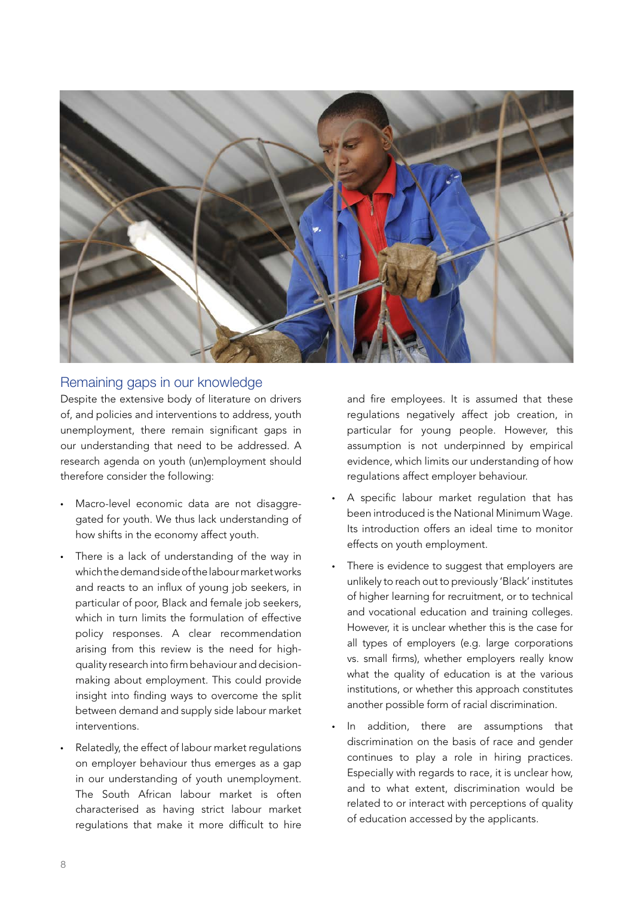

### Remaining gaps in our knowledge

Despite the extensive body of literature on drivers of, and policies and interventions to address, youth unemployment, there remain significant gaps in our understanding that need to be addressed. A research agenda on youth (un)employment should therefore consider the following:

- Macro-level economic data are not disaggregated for youth. We thus lack understanding of how shifts in the economy affect youth.
- There is a lack of understanding of the way in which the demand side of the labour market works and reacts to an influx of young job seekers, in particular of poor, Black and female job seekers, which in turn limits the formulation of effective policy responses. A clear recommendation arising from this review is the need for highquality research into firm behaviour and decisionmaking about employment. This could provide insight into finding ways to overcome the split between demand and supply side labour market interventions.
- Relatedly, the effect of labour market regulations on employer behaviour thus emerges as a gap in our understanding of youth unemployment. The South African labour market is often characterised as having strict labour market regulations that make it more difficult to hire

and fire employees. It is assumed that these regulations negatively affect job creation, in particular for young people. However, this assumption is not underpinned by empirical evidence, which limits our understanding of how regulations affect employer behaviour.

- A specific labour market regulation that has been introduced is the National Minimum Wage. Its introduction offers an ideal time to monitor effects on youth employment.
- There is evidence to suggest that employers are unlikely to reach out to previously 'Black' institutes of higher learning for recruitment, or to technical and vocational education and training colleges. However, it is unclear whether this is the case for all types of employers (e.g. large corporations vs. small firms), whether employers really know what the quality of education is at the various institutions, or whether this approach constitutes another possible form of racial discrimination.
- In addition, there are assumptions that discrimination on the basis of race and gender continues to play a role in hiring practices. Especially with regards to race, it is unclear how, and to what extent, discrimination would be related to or interact with perceptions of quality of education accessed by the applicants.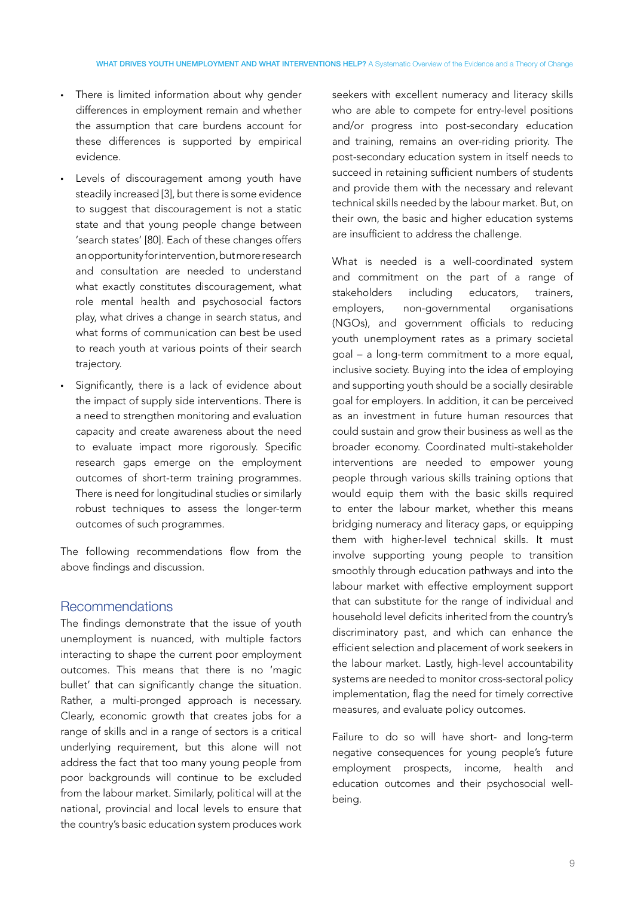- There is limited information about why gender differences in employment remain and whether the assumption that care burdens account for these differences is supported by empirical evidence.
- Levels of discouragement among youth have steadily increased [3], but there is some evidence to suggest that discouragement is not a static state and that young people change between 'search states' [80]. Each of these changes offers an opportunity for intervention, but more research and consultation are needed to understand what exactly constitutes discouragement, what role mental health and psychosocial factors play, what drives a change in search status, and what forms of communication can best be used to reach youth at various points of their search trajectory.
- Significantly, there is a lack of evidence about the impact of supply side interventions. There is a need to strengthen monitoring and evaluation capacity and create awareness about the need to evaluate impact more rigorously. Specific research gaps emerge on the employment outcomes of short-term training programmes. There is need for longitudinal studies or similarly robust techniques to assess the longer-term outcomes of such programmes.

The following recommendations flow from the above findings and discussion.

#### Recommendations

The findings demonstrate that the issue of youth unemployment is nuanced, with multiple factors interacting to shape the current poor employment outcomes. This means that there is no 'magic bullet' that can significantly change the situation. Rather, a multi-pronged approach is necessary. Clearly, economic growth that creates jobs for a range of skills and in a range of sectors is a critical underlying requirement, but this alone will not address the fact that too many young people from poor backgrounds will continue to be excluded from the labour market. Similarly, political will at the national, provincial and local levels to ensure that the country's basic education system produces work seekers with excellent numeracy and literacy skills who are able to compete for entry-level positions and/or progress into post-secondary education and training, remains an over-riding priority. The post-secondary education system in itself needs to succeed in retaining sufficient numbers of students and provide them with the necessary and relevant technical skills needed by the labour market. But, on their own, the basic and higher education systems are insufficient to address the challenge.

What is needed is a well-coordinated system and commitment on the part of a range of stakeholders including educators, trainers, employers, non-governmental organisations (NGOs), and government officials to reducing youth unemployment rates as a primary societal goal – a long-term commitment to a more equal, inclusive society. Buying into the idea of employing and supporting youth should be a socially desirable goal for employers. In addition, it can be perceived as an investment in future human resources that could sustain and grow their business as well as the broader economy. Coordinated multi-stakeholder interventions are needed to empower young people through various skills training options that would equip them with the basic skills required to enter the labour market, whether this means bridging numeracy and literacy gaps, or equipping them with higher-level technical skills. It must involve supporting young people to transition smoothly through education pathways and into the labour market with effective employment support that can substitute for the range of individual and household level deficits inherited from the country's discriminatory past, and which can enhance the efficient selection and placement of work seekers in the labour market. Lastly, high-level accountability systems are needed to monitor cross-sectoral policy implementation, flag the need for timely corrective measures, and evaluate policy outcomes.

Failure to do so will have short- and long-term negative consequences for young people's future employment prospects, income, health and education outcomes and their psychosocial wellbeing.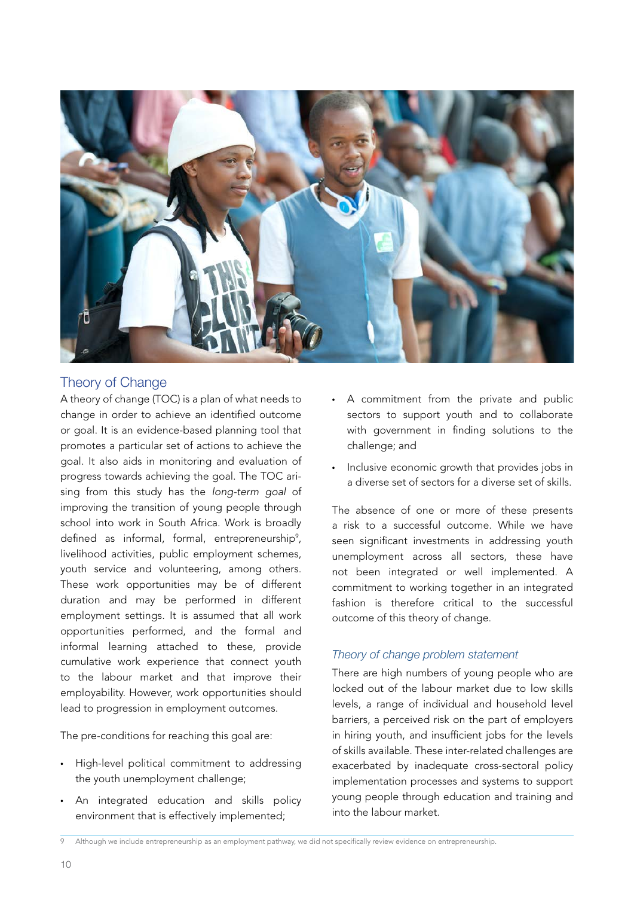

# Theory of Change

A theory of change (TOC) is a plan of what needs to change in order to achieve an identified outcome or goal. It is an evidence-based planning tool that promotes a particular set of actions to achieve the goal. It also aids in monitoring and evaluation of progress towards achieving the goal. The TOC arising from this study has the *long-term goal* of improving the transition of young people through school into work in South Africa. Work is broadly defined as informal, formal, entrepreneurship<sup>9</sup>, livelihood activities, public employment schemes, youth service and volunteering, among others. These work opportunities may be of different duration and may be performed in different employment settings. It is assumed that all work opportunities performed, and the formal and informal learning attached to these, provide cumulative work experience that connect youth to the labour market and that improve their employability. However, work opportunities should lead to progression in employment outcomes.

The pre-conditions for reaching this goal are:

- High-level political commitment to addressing the youth unemployment challenge;
- An integrated education and skills policy environment that is effectively implemented;
- A commitment from the private and public sectors to support youth and to collaborate with government in finding solutions to the challenge; and
- Inclusive economic growth that provides jobs in a diverse set of sectors for a diverse set of skills.

The absence of one or more of these presents a risk to a successful outcome. While we have seen significant investments in addressing youth unemployment across all sectors, these have not been integrated or well implemented. A commitment to working together in an integrated fashion is therefore critical to the successful outcome of this theory of change.

#### *Theory of change problem statement*

There are high numbers of young people who are locked out of the labour market due to low skills levels, a range of individual and household level barriers, a perceived risk on the part of employers in hiring youth, and insufficient jobs for the levels of skills available. These inter-related challenges are exacerbated by inadequate cross-sectoral policy implementation processes and systems to support young people through education and training and into the labour market.

9 Although we include entrepreneurship as an employment pathway, we did not specifically review evidence on entrepreneurship.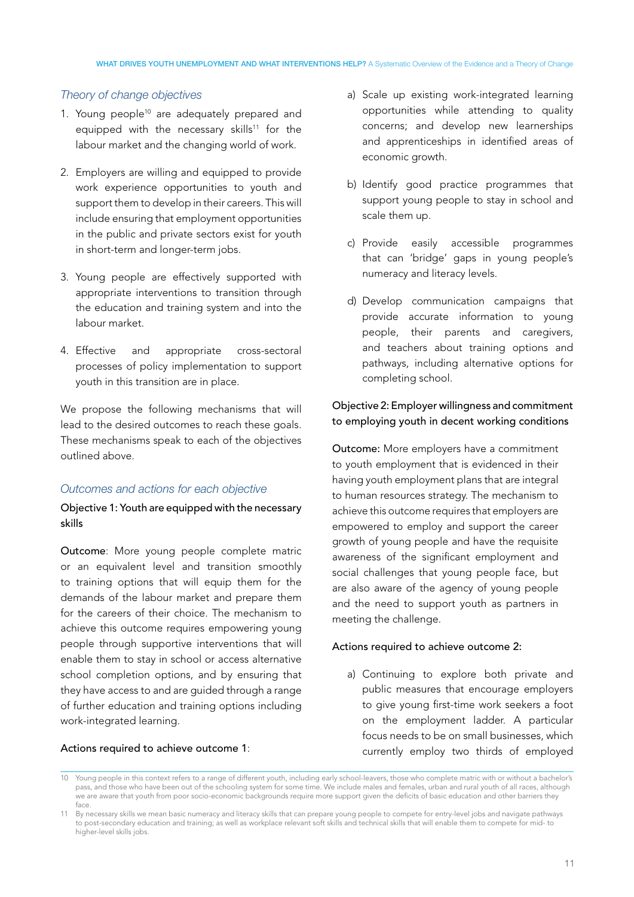#### *Theory of change objectives*

- 1. Young people<sup>10</sup> are adequately prepared and equipped with the necessary skills<sup>11</sup> for the labour market and the changing world of work.
- 2. Employers are willing and equipped to provide work experience opportunities to youth and support them to develop in their careers. This will include ensuring that employment opportunities in the public and private sectors exist for youth in short-term and longer-term jobs.
- 3. Young people are effectively supported with appropriate interventions to transition through the education and training system and into the labour market.
- 4. Effective and appropriate cross-sectoral processes of policy implementation to support youth in this transition are in place.

We propose the following mechanisms that will lead to the desired outcomes to reach these goals. These mechanisms speak to each of the objectives outlined above.

#### *Outcomes and actions for each objective*

Objective 1: Youth are equipped with the necessary skills

Outcome: More young people complete matric or an equivalent level and transition smoothly to training options that will equip them for the demands of the labour market and prepare them for the careers of their choice. The mechanism to achieve this outcome requires empowering young people through supportive interventions that will enable them to stay in school or access alternative school completion options, and by ensuring that they have access to and are guided through a range of further education and training options including work-integrated learning.

#### Actions required to achieve outcome 1:

- a) Scale up existing work-integrated learning opportunities while attending to quality concerns; and develop new learnerships and apprenticeships in identified areas of economic growth.
- b) Identify good practice programmes that support young people to stay in school and scale them up.
- c) Provide easily accessible programmes that can 'bridge' gaps in young people's numeracy and literacy levels.
- d) Develop communication campaigns that provide accurate information to young people, their parents and caregivers, and teachers about training options and pathways, including alternative options for completing school.

#### Objective 2: Employer willingness and commitment to employing youth in decent working conditions

Outcome: More employers have a commitment to youth employment that is evidenced in their having youth employment plans that are integral to human resources strategy. The mechanism to achieve this outcome requires that employers are empowered to employ and support the career growth of young people and have the requisite awareness of the significant employment and social challenges that young people face, but are also aware of the agency of young people and the need to support youth as partners in meeting the challenge.

#### Actions required to achieve outcome 2:

a) Continuing to explore both private and public measures that encourage employers to give young first-time work seekers a foot on the employment ladder. A particular focus needs to be on small businesses, which currently employ two thirds of employed

<sup>10</sup> Young people in this context refers to a range of different youth, including early school-leavers, those who complete matric with or without a bachelor's pass, and those who have been out of the schooling system for some time. We include males and females, urban and rural youth of all races, although .<br>We are aware that youth from poor socio-economic backgrounds require more support given the deficits of basic education and other barriers they face.

<sup>11</sup> By necessary skills we mean basic numeracy and literacy skills that can prepare young people to compete for entry-level jobs and navigate pathways to post-secondary education and training; as well as workplace relevant soft skills and technical skills that will enable them to compete for mid- to higher-level skills jobs.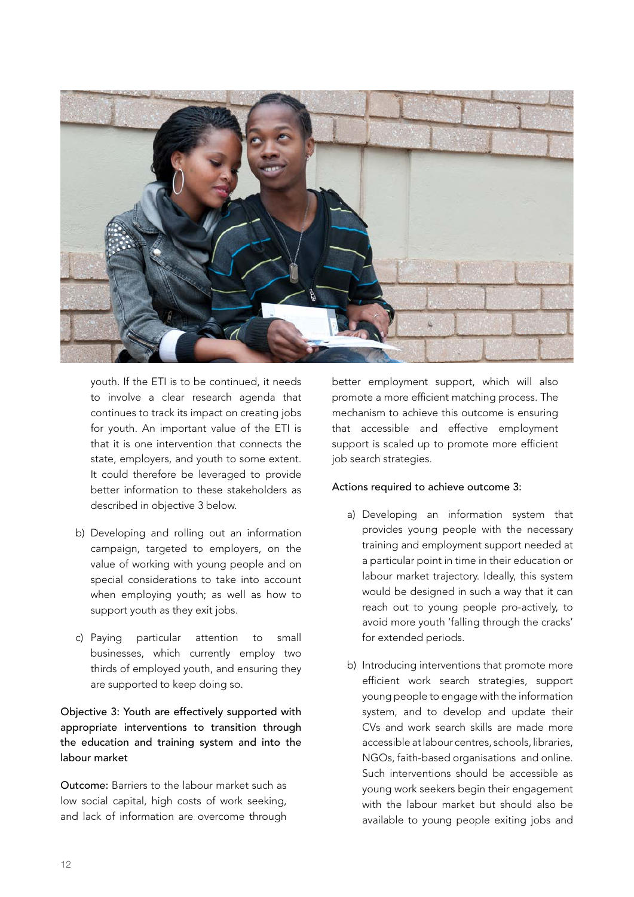

youth. If the ETI is to be continued, it needs to involve a clear research agenda that continues to track its impact on creating jobs for youth. An important value of the ETI is that it is one intervention that connects the state, employers, and youth to some extent. It could therefore be leveraged to provide better information to these stakeholders as described in objective 3 below.

- b) Developing and rolling out an information campaign, targeted to employers, on the value of working with young people and on special considerations to take into account when employing youth; as well as how to support youth as they exit jobs.
- c) Paying particular attention to small businesses, which currently employ two thirds of employed youth, and ensuring they are supported to keep doing so.

# Objective 3: Youth are effectively supported with appropriate interventions to transition through the education and training system and into the labour market

Outcome: Barriers to the labour market such as low social capital, high costs of work seeking, and lack of information are overcome through

better employment support, which will also promote a more efficient matching process. The mechanism to achieve this outcome is ensuring that accessible and effective employment support is scaled up to promote more efficient job search strategies.

#### Actions required to achieve outcome 3:

- a) Developing an information system that provides young people with the necessary training and employment support needed at a particular point in time in their education or labour market trajectory. Ideally, this system would be designed in such a way that it can reach out to young people pro-actively, to avoid more youth 'falling through the cracks' for extended periods.
- b) Introducing interventions that promote more efficient work search strategies, support young people to engage with the information system, and to develop and update their CVs and work search skills are made more accessible at labour centres, schools, libraries, NGOs, faith-based organisations and online. Such interventions should be accessible as young work seekers begin their engagement with the labour market but should also be available to young people exiting jobs and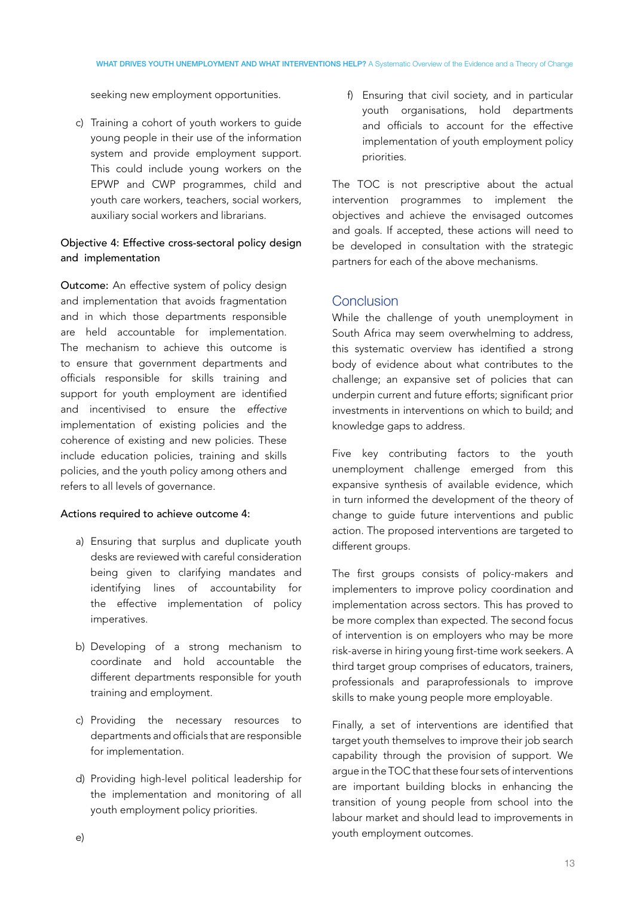seeking new employment opportunities.

c) Training a cohort of youth workers to guide young people in their use of the information system and provide employment support. This could include young workers on the EPWP and CWP programmes, child and youth care workers, teachers, social workers, auxiliary social workers and librarians.

#### Objective 4: Effective cross-sectoral policy design and implementation

Outcome: An effective system of policy design and implementation that avoids fragmentation and in which those departments responsible are held accountable for implementation. The mechanism to achieve this outcome is to ensure that government departments and officials responsible for skills training and support for youth employment are identified and incentivised to ensure the *effective* implementation of existing policies and the coherence of existing and new policies. These include education policies, training and skills policies, and the youth policy among others and refers to all levels of governance.

#### Actions required to achieve outcome 4:

- a) Ensuring that surplus and duplicate youth desks are reviewed with careful consideration being given to clarifying mandates and identifying lines of accountability for the effective implementation of policy imperatives.
- b) Developing of a strong mechanism to coordinate and hold accountable the different departments responsible for youth training and employment.
- c) Providing the necessary resources to departments and officials that are responsible for implementation.
- d) Providing high-level political leadership for the implementation and monitoring of all youth employment policy priorities.

f) Ensuring that civil society, and in particular youth organisations, hold departments and officials to account for the effective implementation of youth employment policy priorities.

The TOC is not prescriptive about the actual intervention programmes to implement the objectives and achieve the envisaged outcomes and goals. If accepted, these actions will need to be developed in consultation with the strategic partners for each of the above mechanisms.

# **Conclusion**

While the challenge of youth unemployment in South Africa may seem overwhelming to address, this systematic overview has identified a strong body of evidence about what contributes to the challenge; an expansive set of policies that can underpin current and future efforts; significant prior investments in interventions on which to build; and knowledge gaps to address.

Five key contributing factors to the youth unemployment challenge emerged from this expansive synthesis of available evidence, which in turn informed the development of the theory of change to guide future interventions and public action. The proposed interventions are targeted to different groups.

The first groups consists of policy-makers and implementers to improve policy coordination and implementation across sectors. This has proved to be more complex than expected. The second focus of intervention is on employers who may be more risk-averse in hiring young first-time work seekers. A third target group comprises of educators, trainers, professionals and paraprofessionals to improve skills to make young people more employable.

Finally, a set of interventions are identified that target youth themselves to improve their job search capability through the provision of support. We argue in the TOC that these four sets of interventions are important building blocks in enhancing the transition of young people from school into the labour market and should lead to improvements in youth employment outcomes.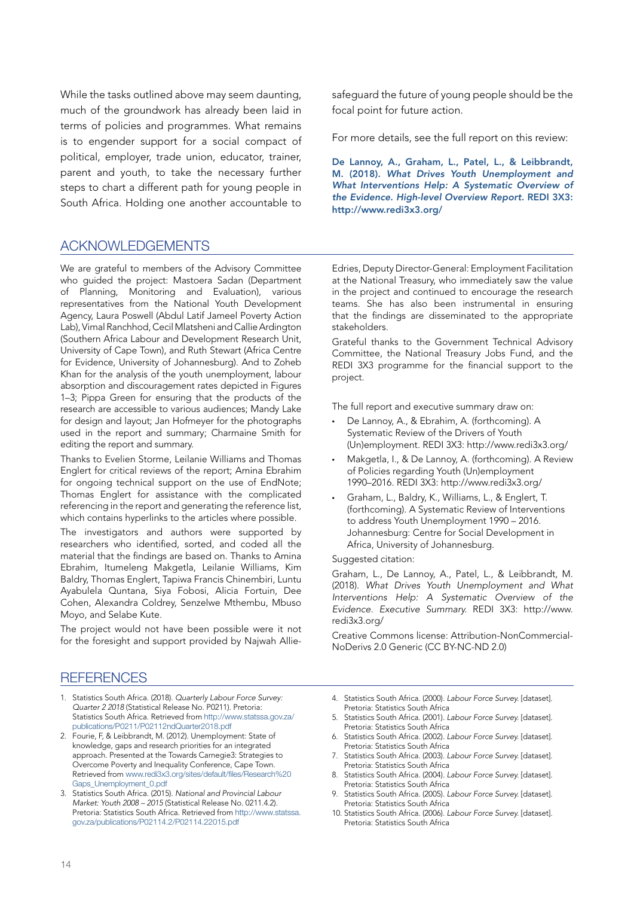While the tasks outlined above may seem daunting, much of the groundwork has already been laid in terms of policies and programmes. What remains is to engender support for a social compact of political, employer, trade union, educator, trainer, parent and youth, to take the necessary further steps to chart a different path for young people in South Africa. Holding one another accountable to

# ACKNOWLEDGEMENTS

We are grateful to members of the Advisory Committee who guided the project: Mastoera Sadan (Department of Planning, Monitoring and Evaluation), various representatives from the National Youth Development Agency, Laura Poswell (Abdul Latif Jameel Poverty Action Lab), Vimal Ranchhod, Cecil Mlatsheni and Callie Ardington (Southern Africa Labour and Development Research Unit, University of Cape Town), and Ruth Stewart (Africa Centre for Evidence, University of Johannesburg). And to Zoheb Khan for the analysis of the youth unemployment, labour absorption and discouragement rates depicted in Figures 1–3; Pippa Green for ensuring that the products of the research are accessible to various audiences; Mandy Lake for design and layout; Jan Hofmeyer for the photographs used in the report and summary; Charmaine Smith for editing the report and summary.

Thanks to Evelien Storme, Leilanie Williams and Thomas Englert for critical reviews of the report; Amina Ebrahim for ongoing technical support on the use of EndNote; Thomas Englert for assistance with the complicated referencing in the report and generating the reference list, which contains hyperlinks to the articles where possible.

The investigators and authors were supported by researchers who identified, sorted, and coded all the material that the findings are based on. Thanks to Amina Ebrahim, Itumeleng Makgetla, Leilanie Williams, Kim Baldry, Thomas Englert, Tapiwa Francis Chinembiri, Luntu Ayabulela Quntana, Siya Fobosi, Alicia Fortuin, Dee Cohen, Alexandra Coldrey, Senzelwe Mthembu, Mbuso Moyo, and Selabe Kute.

The project would not have been possible were it not for the foresight and support provided by Najwah Alliesafeguard the future of young people should be the focal point for future action.

For more details, see the full report on this review:

De Lannoy, A., Graham, L., Patel, L., & Leibbrandt, M. (2018). *What Drives Youth Unemployment and What Interventions Help: A Systematic Overview of the Evidence. High-level Overview Report.* REDI 3X3: http://www.redi3x3.org/

Edries, Deputy Director-General: Employment Facilitation at the National Treasury, who immediately saw the value in the project and continued to encourage the research teams. She has also been instrumental in ensuring that the findings are disseminated to the appropriate stakeholders.

Grateful thanks to the Government Technical Advisory Committee, the National Treasury Jobs Fund, and the REDI 3X3 programme for the financial support to the project.

The full report and executive summary draw on:

- De Lannoy, A., & Ebrahim, A. (forthcoming). A Systematic Review of the Drivers of Youth (Un)employment. REDI 3X3: http://www.redi3x3.org/
- Makgetla, I., & De Lannoy, A. (forthcoming). A Review of Policies regarding Youth (Un)employment 1990–2016. REDI 3X3: http://www.redi3x3.org/
- Graham, L., Baldry, K., Williams, L., & Englert, T. (forthcoming). A Systematic Review of Interventions to address Youth Unemployment 1990 – 2016. Johannesburg: Centre for Social Development in Africa, University of Johannesburg.

#### Suggested citation:

Graham, L., De Lannoy, A., Patel, L., & Leibbrandt, M. (2018). *What Drives Youth Unemployment and What Interventions Help: A Systematic Overview of the Evidence. Executive Summary.* REDI 3X3: http://www. redi3x3.org/

Creative Commons license: Attribution-NonCommercial-NoDerivs 2.0 Generic (CC BY-NC-ND 2.0)

# **REFERENCES**

- 1. Statistics South Africa. (2018). *Quarterly Labour Force Survey: Quarter 2 2018* (Statistical Release No. P0211). Pretoria: Statistics South Africa. Retrieved from [http://www.statssa.gov.za/](http://www.statssa.gov.za/publications/P0211/P02112ndQuarter2018.pdf) [publications/P0211/P02112ndQuarter2018.pdf](http://www.statssa.gov.za/publications/P0211/P02112ndQuarter2018.pdf)
- 2. Fourie, F, & Leibbrandt, M. (2012). Unemployment: State of knowledge, gaps and research priorities for an integrated approach. Presented at the Towards Carnegie3: Strategies to Overcome Poverty and Inequality Conference, Cape Town. Retrieved from [www.redi3x3.org/sites/default/files/Research%20](http://www.redi3x3.org/sites/default/files/Research%20Gaps_Unemployment_0.pdf) [Gaps\\_Unemployment\\_0.pdf](http://www.redi3x3.org/sites/default/files/Research%20Gaps_Unemployment_0.pdf)
- 3. Statistics South Africa. (2015). *National and Provincial Labour Market: Youth 2008 – 2015* (Statistical Release No. 0211.4.2). Pretoria: Statistics South Africa. Retrieved from [http://www.statssa.](http://www.statssa.gov.za/publications/P02114.2/P02114.22015.pdf) [gov.za/publications/P02114.2/P02114.22015.pdf](http://www.statssa.gov.za/publications/P02114.2/P02114.22015.pdf)
- 4. Statistics South Africa. (2000). *Labour Force Survey.* [dataset]. Pretoria: Statistics South Africa
- 5. Statistics South Africa. (2001). *Labour Force Survey.* [dataset]. Pretoria: Statistics South Africa
- 6. Statistics South Africa. (2002). *Labour Force Survey.* [dataset]. Pretoria: Statistics South Africa
- 7. Statistics South Africa. (2003). *Labour Force Survey.* [dataset]. Pretoria: Statistics South Africa
- 8. Statistics South Africa. (2004). *Labour Force Survey.* [dataset]. Pretoria: Statistics South Africa
- 9. Statistics South Africa. (2005). *Labour Force Survey.* [dataset]. Pretoria: Statistics South Africa
- 10. Statistics South Africa. (2006). *Labour Force Survey.* [dataset]. Pretoria: Statistics South Africa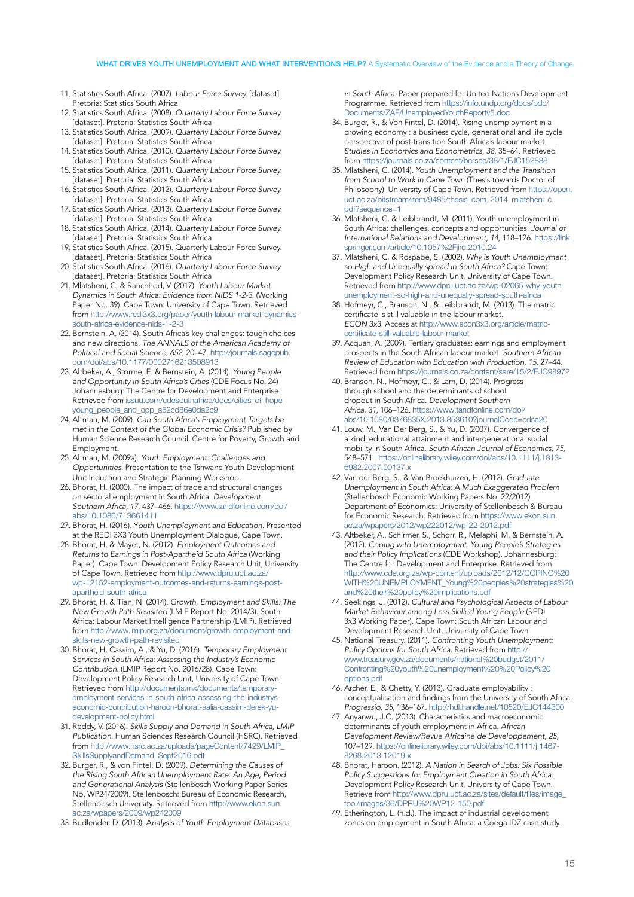- 11. Statistics South Africa. (2007). *Labour Force Survey.* [dataset]. Pretoria: Statistics South Africa
- 12. Statistics South Africa. (2008). *Quarterly Labour Force Survey.* [dataset]. Pretoria: Statistics South Africa
- 13. Statistics South Africa. (2009). *Quarterly Labour Force Survey.* [dataset]. Pretoria: Statistics South Africa
- 14. Statistics South Africa. (2010). *Quarterly Labour Force Survey.* [dataset]. Pretoria: Statistics South Africa
- 15. Statistics South Africa. (2011). *Quarterly Labour Force Survey.* [dataset]. Pretoria: Statistics South Africa
- 16. Statistics South Africa. (2012). *Quarterly Labour Force Survey.* [dataset]. Pretoria: Statistics South Africa
- 17. Statistics South Africa. (2013). *Quarterly Labour Force Survey.* [dataset]. Pretoria: Statistics South Africa
- 18. Statistics South Africa. (2014). *Quarterly Labour Force Survey.* [dataset]. Pretoria: Statistics South Africa
- 19. Statistics South Africa. (2015). Quarterly Labour Force Survey. [dataset]. Pretoria: Statistics South Africa
- 20. Statistics South Africa. (2016). *Quarterly Labour Force Survey.* [dataset]. Pretoria: Statistics South Africa
- 21. Mlatsheni, C, & Ranchhod, V. (2017). *Youth Labour Market Dynamics in South Africa: Evidence from NIDS 1-2-3.* (Working Paper No. 39). Cape Town: University of Cape Town. Retrieved from [http://www.redi3x3.org/paper/youth-labour-market-dynamics](http://www.redi3x3.org/paper/youth-labour-market-dynamics-south-africa-evidence-nids-1-2-3)[south-africa-evidence-nids-1-2-3](http://www.redi3x3.org/paper/youth-labour-market-dynamics-south-africa-evidence-nids-1-2-3)
- 22. Bernstein, A. (2014). South Africa's key challenges: tough choices and new directions. *The ANNALS of the American Academy of Political and Social Science, 652,* 20–47. [http://journals.sagepub.](http://journals.sagepub.com/doi/abs/10.1177/0002716213508913) [com/doi/abs/10.1177/0002716213508913](http://journals.sagepub.com/doi/abs/10.1177/0002716213508913)
- 23. Altbeker, A., Storme, E. & Bernstein, A. (2014). *Young People and Opportunity in South Africa's Cities* (CDE Focus No. 24) Johannesburg: The Centre for Development and Enterprise. Retrieved from [issuu.com/cdesouthafrica/docs/cities\\_of\\_hope\\_](https://issuu.com/cdesouthafrica/docs/cities_of_hope_young_people_and_opp_a52cd86e0da2c9) [young\\_people\\_and\\_opp\\_a52cd86e0da2c9](https://issuu.com/cdesouthafrica/docs/cities_of_hope_young_people_and_opp_a52cd86e0da2c9)
- 24. Altman, M. (2009). *Can South Africa's Employment Targets be met in the Context of the Global Economic Crisis?* Published by Human Science Research Council, Centre for Poverty, Growth and Employment.
- 25. Altman, M. (2009a). *Youth Employment: Challenges and Opportunities*. Presentation to the Tshwane Youth Development Unit Induction and Strategic Planning Workshop.
- 26. Bhorat, H. (2000). The impact of trade and structural changes on sectoral employment in South Africa. *Development Southern Africa, 17,* 437–466. [https://www.tandfonline.com/doi/](https://www.tandfonline.com/doi/abs/10.1080/713661411) [abs/10.1080/713661411](https://www.tandfonline.com/doi/abs/10.1080/713661411)
- 27. Bhorat, H. (2016). Y*outh Unemployment and Education.* Presented at the REDI 3X3 Youth Unemployment Dialogue, Cape Town.
- 28. Bhorat, H, & Mayet, N. (2012). *Employment Outcomes and Returns to Earnings in Post-Apartheid South Africa* (Working Paper). Cape Town: Development Policy Research Unit, University of Cape Town. Retrieved from [http://www.dpru.uct.ac.za/](http://www.dpru.uct.ac.za/wp-12152-employment-outcomes-and-returns-earnings-post-apartheid-south-africa) [wp-12152-employment-outcomes-and-returns-earnings-post](http://www.dpru.uct.ac.za/wp-12152-employment-outcomes-and-returns-earnings-post-apartheid-south-africa)[apartheid-south-africa](http://www.dpru.uct.ac.za/wp-12152-employment-outcomes-and-returns-earnings-post-apartheid-south-africa)
- 29. Bhorat, H, & Tian, N. (2014). *Growth, Employment and Skills: The New Growth Path Revisited* (LMIP Report No. 2014/3). South Africa: Labour Market Intelligence Partnership (LMIP). Retrieved from [http://www.lmip.org.za/document/growth-employment-and](http://www.lmip.org.za/document/growth-employment-and-skills-new-growth-path-revisited)[skills-new-growth-path-revisited](http://www.lmip.org.za/document/growth-employment-and-skills-new-growth-path-revisited)
- 30. Bhorat, H, Cassim, A., & Yu, D. (2016). *Temporary Employment Services in South Africa: Assessing the Industry's Economic Contribution.* (LMIP Report No. 2016/28)*.* Cape Town: Development Policy Research Unit, University of Cape Town. Retrieved from [http://documents.mx/documents/temporary](http://www.lmip.org.za/sites/default/files/documentfiles/Temporary%20employment%20services%20in%20South%20Africa.pdf)[employment-services-in-south-africa-assessing-the-industrys](http://www.lmip.org.za/sites/default/files/documentfiles/Temporary%20employment%20services%20in%20South%20Africa.pdf)[economic-contribution-haroon-bhorat-aalia-cassim-derek-yu](http://www.lmip.org.za/sites/default/files/documentfiles/Temporary%20employment%20services%20in%20South%20Africa.pdf)[development-policy.html](http://www.lmip.org.za/sites/default/files/documentfiles/Temporary%20employment%20services%20in%20South%20Africa.pdf)
- 31. Reddy, V. (2016). *Skills Supply and Demand in South Africa, LMIP Publication.* Human Sciences Research Council (HSRC). Retrieved from [http://www.hsrc.ac.za/uploads/pageContent/7429/LMIP\\_](http://www.hsrc.ac.za/uploads/pageContent/7429/LMIP_SkillsSupplyandDemand_Sept2016.pdf) [SkillsSupplyandDemand\\_Sept2016.pdf](http://www.hsrc.ac.za/uploads/pageContent/7429/LMIP_SkillsSupplyandDemand_Sept2016.pdf)
- 32. Burger, R., & von Fintel, D. (2009). *Determining the Causes of the Rising South African Unemployment Rate: An Age, Period and Generational Analysis* (Stellenbosch Working Paper Series No. WP24/2009). Stellenbosch: Bureau of Economic Research, Stellenbosch University. Retrieved from [http://www.ekon.sun.](http://www.ekon.sun.ac.za/wpapers/2009/wp242009) [ac.za/wpapers/2009/wp242009](http://www.ekon.sun.ac.za/wpapers/2009/wp242009)
- 33. Budlender, D. (2013). A*nalysis of Youth Employment Databases*

*in South Africa.* Paper prepared for United Nations Development Programme. Retrieved from [https://info.undp.org/docs/pdc/](https://info.undp.org/docs/pdc/Documents/ZAF/UnemployedYouthReportv5.doc) [Documents/ZAF/UnemployedYouthReportv5.doc](https://info.undp.org/docs/pdc/Documents/ZAF/UnemployedYouthReportv5.doc)

- 34. Burger, R., & Von Fintel, D. (2014). Rising unemployment in a growing economy : a business cycle, generational and life cycle perspective of post-transition South Africa's labour market. *Studies in Economics and Econometrics, 38*, 35–64. Retrieved from <https://journals.co.za/content/bersee/38/1/EJC152888>
- 35. Mlatsheni, C. (2014). *Youth Unemployment and the Transition from School to Work in Cape Town* (Thesis towards Doctor of Philosophy). University of Cape Town. Retrieved from [https://open.](https://open.uct.ac.za/bitstream/item/9485/thesis_com_2014_mlatsheni_c.pdf?sequence=1) [uct.ac.za/bitstream/item/9485/thesis\\_com\\_2014\\_mlatsheni\\_c.](https://open.uct.ac.za/bitstream/item/9485/thesis_com_2014_mlatsheni_c.pdf?sequence=1) [pdf?sequence=1](https://open.uct.ac.za/bitstream/item/9485/thesis_com_2014_mlatsheni_c.pdf?sequence=1)
- 36. Mlatsheni, C, & Leibbrandt, M. (2011). Youth unemployment in South Africa: challenges, concepts and opportunities. *Journal of International Relations and Development, 14,* 118–126. [https://link.](https://link.springer.com/article/10.1057%2Fjird.2010.24) [springer.com/article/10.1057%2Fjird.2010.24](https://link.springer.com/article/10.1057%2Fjird.2010.24)
- 37. Mlatsheni, C, & Rospabe, S. (2002). *Why is Youth Unemployment so High and Unequally spread in South Africa?* Cape Town: Development Policy Research Unit, University of Cape Town. Retrieved from [http://www.dpru.uct.ac.za/wp-02065-why-youth](http://www.dpru.uct.ac.za/wp-02065-why-youth-unemployment-so-high-and-unequally-spread-south-africa)[unemployment-so-high-and-unequally-spread-south-africa](http://www.dpru.uct.ac.za/wp-02065-why-youth-unemployment-so-high-and-unequally-spread-south-africa)
- 38. Hofmeyr, C., Branson, N., & Leibbrandt, M. (2013). The matric certificate is still valuable in the labour market. *ECON 3x3.* Access at [http://www.econ3x3.org/article/matric](http://www.econ3x3.org/article/matric-certificate-still-valuable-labour-market)[certificate-still-valuable-labour-market](http://www.econ3x3.org/article/matric-certificate-still-valuable-labour-market)
- 39. Acquah, A. (2009). Tertiary graduates: earnings and employment prospects in the South African labour market. *Southern African Review of Education with Education with Production, 15*, 27–44. Retrieved from <https://journals.co.za/content/sare/15/2/EJC98972>
- 40. Branson, N., Hofmeyr, C., & Lam, D. (2014). Progress through school and the determinants of school dropout in South Africa. *Development Southern Africa, 31*, 106–126. [https://www.tandfonline.com/doi/](https://www.tandfonline.com/doi/abs/10.1080/0376835X.2013.853610?journalCode=cdsa20) [abs/10.1080/0376835X.2013.853610?journalCode=cdsa20](https://www.tandfonline.com/doi/abs/10.1080/0376835X.2013.853610?journalCode=cdsa20)
- 41. Louw, M., Van Der Berg, S., & Yu, D. (2007). Convergence of a kind: educational attainment and intergenerational social mobility in South Africa. *South African Journal of Economics, 75,*  548–571. [https://onlinelibrary.wiley.com/doi/abs/10.1111/j.1813-](https://onlinelibrary.wiley.com/doi/abs/10.1111/j.1813-6982.2007.00137.x) [6982.2007.00137.x](https://onlinelibrary.wiley.com/doi/abs/10.1111/j.1813-6982.2007.00137.x)
- 42. Van der Berg, S., & Van Broekhuizen, H. (2012). *Graduate Unemployment in South Africa: A Much Exaggerated Problem* (Stellenbosch Economic Working Papers No. 22/2012). Department of Economics: University of Stellenbosch & Bureau for Economic Research. Retrieved from [https://www.ekon.sun.](https://www.ekon.sun.ac.za/wpapers/2012/wp222012/wp-22-2012.pdf) [ac.za/wpapers/2012/wp222012/wp-22-2012.pdf](https://www.ekon.sun.ac.za/wpapers/2012/wp222012/wp-22-2012.pdf)
- 43. Altbeker, A., Schirmer, S., Schorr, R., Melaphi, M, & Bernstein, A. (2012). *Coping with Unemployment: Young People's Strategies and their Policy Implications* (CDE Workshop). Johannesburg: The Centre for Development and Enterprise. Retrieved from [http://www.cde.org.za/wp-content/uploads/2012/12/COPING%20](http://www.cde.org.za/wp-content/uploads/2012/12/COPING%20WITH%20UNEMPLOYMENT_Young%20peoples%20strategies%20and%20their%20policy%20implications.pdf) [WITH%20UNEMPLOYMENT\\_Young%20peoples%20strategies%20](http://www.cde.org.za/wp-content/uploads/2012/12/COPING%20WITH%20UNEMPLOYMENT_Young%20peoples%20strategies%20and%20their%20policy%20implications.pdf) [and%20their%20policy%20implications.pdf](http://www.cde.org.za/wp-content/uploads/2012/12/COPING%20WITH%20UNEMPLOYMENT_Young%20peoples%20strategies%20and%20their%20policy%20implications.pdf)
- 44. Seekings, J. (2012). *Cultural and Psychological Aspects of Labour Market Behaviour among Less Skilled Young People* (REDI 3x3 Working Paper). Cape Town: South African Labour and Development Research Unit, University of Cape Town
- 45. National Treasury. (2011). *Confronting Youth Unemployment: Policy Options for South Africa.* Retrieved from [http://](http://www.treasury.gov.za/documents/national%20budget/2011/Confronting%20youth%20unemployment%20%20Policy%20options.pdf) [www.treasury.gov.za/documents/national%20budget/2011/](http://www.treasury.gov.za/documents/national%20budget/2011/Confronting%20youth%20unemployment%20%20Policy%20options.pdf) [Confronting%20youth%20unemployment%20%20Policy%20](http://www.treasury.gov.za/documents/national%20budget/2011/Confronting%20youth%20unemployment%20%20Policy%20options.pdf) [options.pdf](http://www.treasury.gov.za/documents/national%20budget/2011/Confronting%20youth%20unemployment%20%20Policy%20options.pdf)
- 46. Archer, E., & Chetty, Y. (2013). Graduate employability : conceptualisation and findings from the University of South Africa. *Progressio, 35*, 136–167. <http://hdl.handle.net/10520/EJC144300>
- 47. Anyanwu, J.C. (2013). Characteristics and macroeconomic determinants of youth employment in Africa. *African Development Review/Revue Africaine de Developpement, 25*, 107–129. [https://onlinelibrary.wiley.com/doi/abs/10.1111/j.1467-](https://onlinelibrary.wiley.com/doi/abs/10.1111/j.1467-8268.2013.12019.x) [8268.2013.12019.x](https://onlinelibrary.wiley.com/doi/abs/10.1111/j.1467-8268.2013.12019.x)
- 48. Bhorat, Haroon. (2012). *A Nation in Search of Jobs: Six Possible Policy Suggestions for Employment Creation in South Africa*. Development Policy Research Unit, University of Cape Town. Retrieve from [http://www.dpru.uct.ac.za/sites/default/files/image\\_](http://www.dpru.uct.ac.za/sites/default/files/image_tool/images/36/DPRU%20WP12-150.pdf) [tool/images/36/DPRU%20WP12-150.pdf](http://www.dpru.uct.ac.za/sites/default/files/image_tool/images/36/DPRU%20WP12-150.pdf)
- 49. Etherington, L. (n.d.). The impact of industrial development zones on employment in South Africa: a Coega IDZ case study.